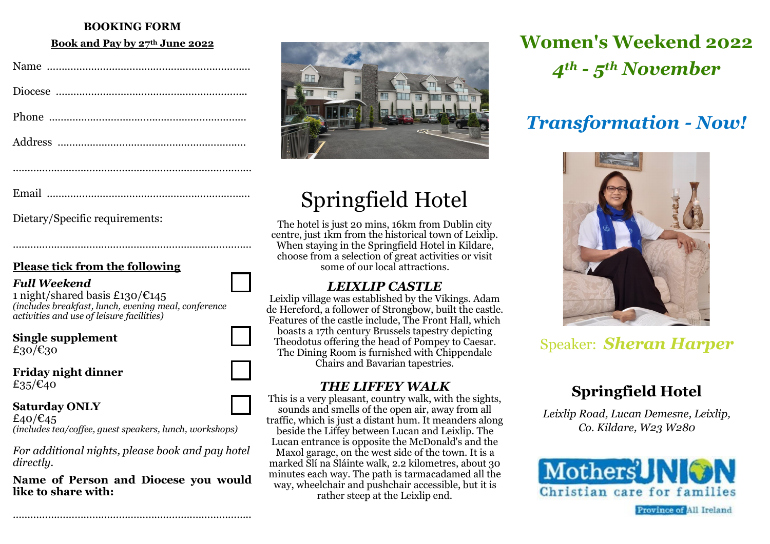### **BOOKING FORM**

#### **Book and Pay by 27th June 2022**

|--|--|

………………………………………………………………………

Dietary/Specific requirements:

### **Please tick from the following**

### *Full Weekend*

1 night/shared basis £130/€145 *(includes breakfast, lunch, evening meal, conference activities and use of leisure facilities)*

**Single supplement** £30/€30

**Friday night dinner** £35/ $\epsilon$ 40

#### **Saturday ONLY**

£40/ $\epsilon$ 45 *(includes tea/coffee, guest speakers, lunch, workshops)*

*For additional nights, please book and pay hotel directly.*

**Name of Person and Diocese you would like to share with:**

……………………………………………………………………………………………



# Springfield Hotel

The hotel is just 20 mins, 16km from Dublin city centre, just 1km from the historical town of Leixlip. When staying in the Springfield Hotel in Kildare, choose from a selection of great activities or visit some of our local attractions.

## *LEIXLIP CASTLE*

Leixlip village was established by the Vikings. Adam de Hereford, a follower of Strongbow, built the castle. Features of the castle include, The Front Hall, which boasts a 17th century Brussels tapestry depicting Theodotus offering the head of Pompey to Caesar. The Dining Room is furnished with Chippendale Chairs and Bavarian tapestries.

## *THE LIFFEY WALK*

This is a very pleasant, country walk, with the sights, sounds and smells of the open air, away from all traffic, which is just a distant hum. It meanders along beside the Liffey between Lucan and Leixlip. The Lucan entrance is opposite the McDonald's and the Maxol garage, on the west side of the town. It is a marked Slí na Sláinte walk, 2.2 kilometres, about 30 minutes each way. The path is tarmacadamed all the way, wheelchair and pushchair accessible, but it is rather steep at the Leixlip end.

# **Women's Weekend 2022** *4th - 5th November*

# *Transformation - Now!*



# Speaker: *Sheran Harper*

# **Springfield Hotel**

*Leixlip Road, Lucan Demesne, Leixlip, Co. Kildare, W23 W280*



**Province of All Ireland**